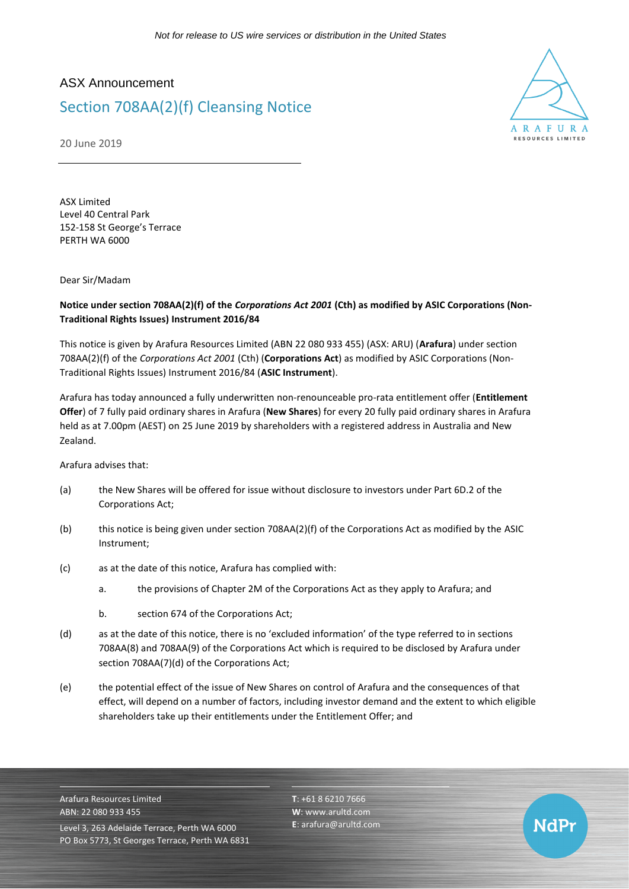## ASX Announcement

# Section 708AA(2)(f) Cleansing Notice

A R A F II R **PESOUPCES LIMITED** 

NdPr

20 June 2019

ASX Limited Level 40 Central Park 152-158 St George's Terrace PERTH WA 6000

Dear Sir/Madam

### **Notice under section 708AA(2)(f) of the** *Corporations Act 2001* **(Cth) as modified by ASIC Corporations (Non-Traditional Rights Issues) Instrument 2016/84**

This notice is given by Arafura Resources Limited (ABN 22 080 933 455) (ASX: ARU) (**Arafura**) under section 708AA(2)(f) of the *Corporations Act 2001* (Cth) (**Corporations Act**) as modified by ASIC Corporations (Non-Traditional Rights Issues) Instrument 2016/84 (**ASIC Instrument**).

Arafura has today announced a fully underwritten non-renounceable pro-rata entitlement offer (**Entitlement Offer**) of 7 fully paid ordinary shares in Arafura (**New Shares**) for every 20 fully paid ordinary shares in Arafura held as at 7.00pm (AEST) on 25 June 2019 by shareholders with a registered address in Australia and New Zealand.

Arafura advises that:

- (a) the New Shares will be offered for issue without disclosure to investors under Part 6D.2 of the Corporations Act;
- (b) this notice is being given under section 708AA(2)(f) of the Corporations Act as modified by the ASIC Instrument;
- (c) as at the date of this notice, Arafura has complied with:
	- a. the provisions of Chapter 2M of the Corporations Act as they apply to Arafura; and
	- b. section 674 of the Corporations Act;
- (d) as at the date of this notice, there is no 'excluded information' of the type referred to in sections 708AA(8) and 708AA(9) of the Corporations Act which is required to be disclosed by Arafura under section 708AA(7)(d) of the Corporations Act;
- (e) the potential effect of the issue of New Shares on control of Arafura and the consequences of that effect, will depend on a number of factors, including investor demand and the extent to which eligible shareholders take up their entitlements under the Entitlement Offer; and

Arafura Resources Limited ABN: 22 080 933 455 Level 3, 263 Adelaide Terrace, Perth WA 6000 PO Box 5773, St Georges Terrace, Perth WA 6831 **T**: +61 8 6210 7666 **W**: [www.arultd.com](http://www.arultd.com/) **E**[: arafura@arultd.com](mailto:arafura@arultd.com)